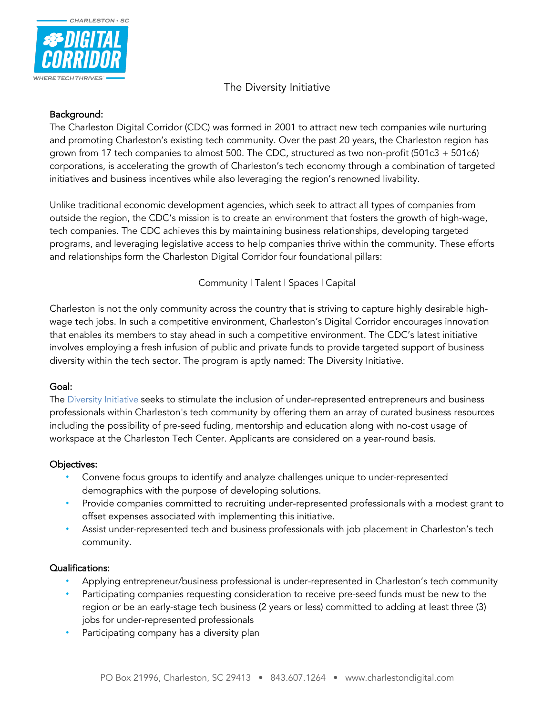

## Background:

CHARLESTON . SC

The Charleston Digital Corridor (CDC) was formed in 2001 to attract new tech companies wile nurturing and promoting Charleston's existing tech community. Over the past 20 years, the Charleston region has grown from 17 tech companies to almost 500. The CDC, structured as two non-profit (501c3 + 501c6) corporations, is accelerating the growth of Charleston's tech economy through a combination of targeted initiatives and business incentives while also leveraging the region's renowned livability.

Unlike traditional economic development agencies, which seek to attract all types of companies from outside the region, the CDC's mission is to create an environment that fosters the growth of high-wage, tech companies. The CDC achieves this by maintaining business relationships, developing targeted programs, and leveraging legislative access to help companies thrive within the community. These efforts and relationships form the Charleston Digital Corridor four foundational pillars:

Community | Talent | Spaces | Capital

Charleston is not the only community across the country that is striving to capture highly desirable highwage tech jobs. In such a competitive environment, Charleston's Digital Corridor encourages innovation that enables its members to stay ahead in such a competitive environment. The CDC's latest initiative involves employing a fresh infusion of public and private funds to provide targeted support of business diversity within the tech sector. The program is aptly named: The Diversity Initiative.

## Goal:

The Diversity Initiative seeks to stimulate the inclusion of under-represented entrepreneurs and business professionals within Charleston's tech community by offering them an array of curated business resources including the possibility of pre-seed fuding, mentorship and education along with no-cost usage of workspace at the Charleston Tech Center. Applicants are considered on a year-round basis.

## Objectives:

- Convene focus groups to identify and analyze challenges unique to under-represented demographics with the purpose of developing solutions.
- Provide companies committed to recruiting under-represented professionals with a modest grant to offset expenses associated with implementing this initiative.
- Assist under-represented tech and business professionals with job placement in Charleston's tech community.

#### Qualifications:

- Applying entrepreneur/business professional is under-represented in Charleston's tech community
- Participating companies requesting consideration to receive pre-seed funds must be new to the region or be an early-stage tech business (2 years or less) committed to adding at least three (3) jobs for under-represented professionals
- Participating company has a diversity plan